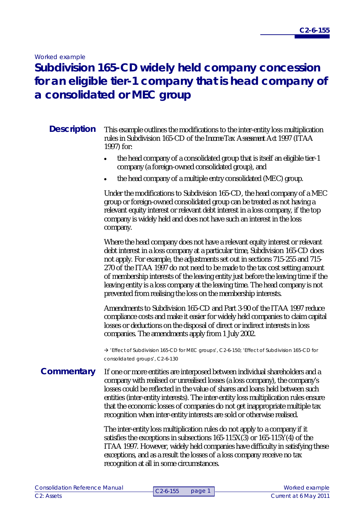*Worked example*

# **Subdivision 165-CD widely held company concession for an eligible tier-1 company that is head company of a consolidated or MEC group**

#### This example outlines the modifications to the inter-entity loss multiplication rules in Subdivision 165-CD of the *Income Tax Assessment Act 1997* (ITAA 1997) for: **Description**

- the head company of a consolidated group that is itself an eligible tier-1 company (a foreign-owned consolidated group), and
- the head company of a multiple entry consolidated (MEC) group.

Under the modifications to Subdivision 165-CD, the head company of a MEC group or foreign-owned consolidated group can be treated as not having a relevant equity interest or relevant debt interest in a loss company, if the top company is widely held and does not have such an interest in the loss company.

Where the head company does not have a relevant equity interest or relevant debt interest in a loss company at a particular time, Subdivision 165-CD does not apply. For example, the adjustments set out in sections 715-255 and 715- 270 of the ITAA 1997 do not need to be made to the tax cost setting amount of membership interests of the leaving entity just before the leaving time if the leaving entity is a loss company at the leaving time. The head company is not prevented from realising the loss on the membership interests.

Amendments to Subdivision 165-CD and Part 3-90 of the ITAA 1997 reduce compliance costs and make it easier for widely held companies to claim capital losses or deductions on the disposal of direct or indirect interests in loss companies. The amendments apply from 1 July 2002.

 'Effect of Subdivision 165-CD for MEC groups', C2-6-150; 'Effect of Subdivision 165-CD for consolidated groups', C2-6-130

### If one or more entities are interposed between individual shareholders and a company with realised or unrealised losses (a loss company), the company's losses could be reflected in the value of shares and loans held between such entities (inter-entity interests). The inter-entity loss multiplication rules ensure that the economic losses of companies do not get inappropriate multiple tax recognition when inter-entity interests are sold or otherwise realised. **Commentary**

The inter-entity loss multiplication rules do not apply to a company if it satisfies the exceptions in subsections  $165-115X(3)$  or  $165-115Y(4)$  of the ITAA 1997. However, widely held companies have difficulty in satisfying these exceptions, and as a result the losses of a loss company receive no tax recognition at all in some circumstances.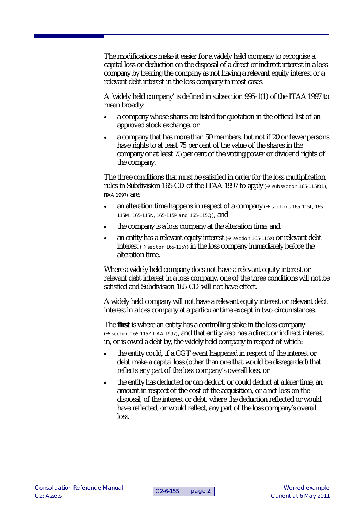The modifications make it easier for a widely held company to recognise a capital loss or deduction on the disposal of a direct or indirect interest in a loss company by treating the company as not having a relevant equity interest or a relevant debt interest in the loss company in most cases.

A 'widely held company' is defined in subsection 995-1(1) of the ITAA 1997 to mean broadly:

- a company whose shares are listed for quotation in the official list of an approved stock exchange, or
- a company that has more than 50 members, but not if 20 or fewer persons have rights to at least 75 per cent of the value of the shares in the company or at least 75 per cent of the voting power or dividend rights of the company.

The three conditions that must be satisfied in order for the loss multiplication rules in Subdivision 165-CD of the ITAA 1997 to apply  $\leftrightarrow$  subsection 165-115K(1), ITAA 1997) are:

- an alteration time happens in respect of a company  $\leftrightarrow$  sections 165-115L, 165-115M, 165-115N, 165-115P and 165-115Q), and
- the company is a loss company at the alteration time, and
- an entity has a relevant equity interest  $\leftrightarrow$  section 165-115X) or relevant debt interest  $\leftrightarrow$  section 165-115Y) in the loss company immediately before the alteration time.

Where a widely held company does not have a relevant equity interest or relevant debt interest in a loss company, one of the three conditions will not be satisfied and Subdivision 165-CD will not have effect.

A widely held company will not have a relevant equity interest or relevant debt interest in a loss company at a particular time except in two circumstances.

The **first** is where an entity has a controlling stake in the loss company ( $\rightarrow$  section 165-115Z, ITAA 1997), and that entity also has a direct or indirect interest in, or is owed a debt by, the widely held company in respect of which:

- the entity could, if a CGT event happened in respect of the interest or debt make a capital loss (other than one that would be disregarded) that reflects any part of the loss company's overall loss, or
- the entity has deducted or can deduct, or could deduct at a later time, an amount in respect of the cost of the acquisition, or a net loss on the disposal, of the interest or debt, where the deduction reflected or would have reflected, or would reflect, any part of the loss company's overall loss.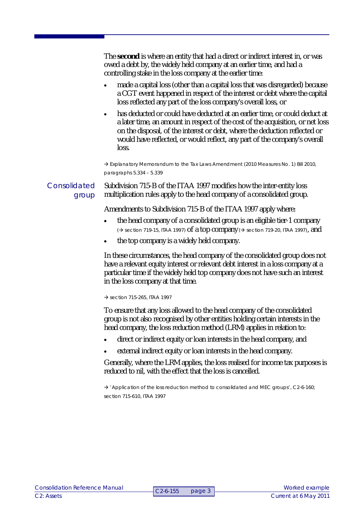The **second** is where an entity that had a direct or indirect interest in, or was owed a debt by, the widely held company at an earlier time, and had a controlling stake in the loss company at the earlier time: made a capital loss (other than a capital loss that was disregarded) because a CGT event happened in respect of the interest or debt where the capital loss reflected any part of the loss company's overall loss, or • has deducted or could have deducted at an earlier time, or could deduct at a later time, an amount in respect of the cost of the acquisition, or net loss on the disposal, of the interest or debt, where the deduction reflected or would have reflected, or would reflect, any part of the company's overall loss. → Explanatory Memorandum to the Tax Laws Amendment (2010 Measures No. 1) Bill 2010, paragraphs 5.334 – 5.339 Subdivision 715-B of the ITAA 1997 modifies how the inter-entity loss multiplication rules apply to the head company of a consolidated group. Amendments to Subdivision 715-B of the ITAA 1997 apply where: • the head company of a consolidated group is an eligible tier-1 company  $\rightarrow$  section 719-15, ITAA 1997) of a top company ( $\rightarrow$  section 719-20, ITAA 1997), and the top company is a widely held company. Consolidated group

In these circumstances, the head company of the consolidated group does not have a relevant equity interest or relevant debt interest in a loss company at a particular time if the widely held top company does not have such an interest in the loss company at that time.

 $\rightarrow$  section 715-265, ITAA 1997

To ensure that any loss allowed to the head company of the consolidated group is not also recognised by other entities holding certain interests in the head company, the loss reduction method (LRM) applies in relation to:

- direct or indirect equity or loan interests in the head company, and
- external indirect equity or loan interests in the head company.

Generally, where the LRM applies, the loss realised for income tax purposes is reduced to nil, with the effect that the loss is cancelled.

 $\rightarrow$  'Application of the loss reduction method to consolidated and MEC groups', C2-6-160; section 715-610, ITAA 1997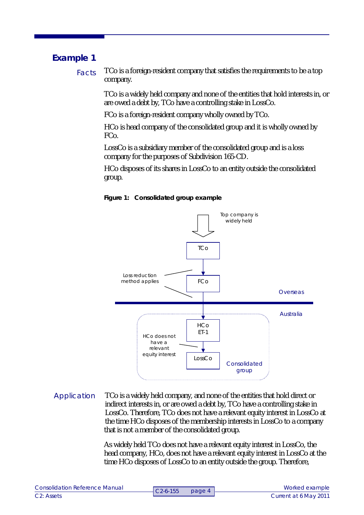## **Example 1**

TCo is a foreign-resident company that satisfies the requirements to be a top company. Facts

> TCo is a widely held company and none of the entities that hold interests in, or are owed a debt by, TCo have a controlling stake in LossCo.

FCo is a foreign-resident company wholly owned by TCo.

HCo is head company of the consolidated group and it is wholly owned by FCo.

LossCo is a subsidiary member of the consolidated group and is a loss company for the purposes of Subdivision 165-CD.

HCo disposes of its shares in LossCo to an entity outside the consolidated group.





### TCo is a widely held company, and none of the entities that hold direct or indirect interests in, or are owed a debt by, TCo have a controlling stake in LossCo. Therefore, TCo does not have a relevant equity interest in LossCo at the time HCo disposes of the membership interests in LossCo to a company that is not a member of the consolidated group. Application

As widely held TCo does not have a relevant equity interest in LossCo, the head company, HCo, does not have a relevant equity interest in LossCo at the time HCo disposes of LossCo to an entity outside the group. Therefore,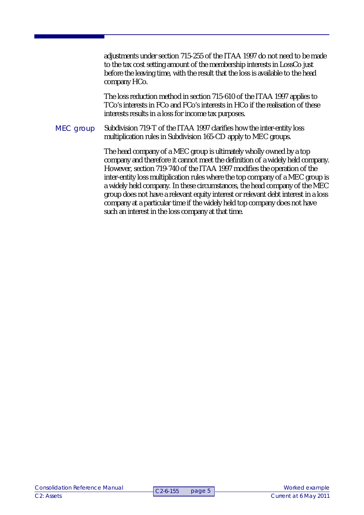adjustments under section 715-255 of the ITAA 1997 do not need to be made to the tax cost setting amount of the membership interests in LossCo just before the leaving time, with the result that the loss is available to the head company HCo.

The loss reduction method in section 715-610 of the ITAA 1997 applies to TCo's interests in FCo and FCo's interests in HCo if the realisation of these interests results in a loss for income tax purposes.

Subdivision 719-T of the ITAA 1997 clarifies how the inter-entity loss multiplication rules in Subdivision 165-CD apply to MEC groups. MEC group

> The head company of a MEC group is ultimately wholly owned by a top company and therefore it cannot meet the definition of a widely held company. However, section 719-740 of the ITAA 1997 modifies the operation of the inter-entity loss multiplication rules where the top company of a MEC group is a widely held company. In these circumstances, the head company of the MEC group does not have a relevant equity interest or relevant debt interest in a loss company at a particular time if the widely held top company does not have such an interest in the loss company at that time.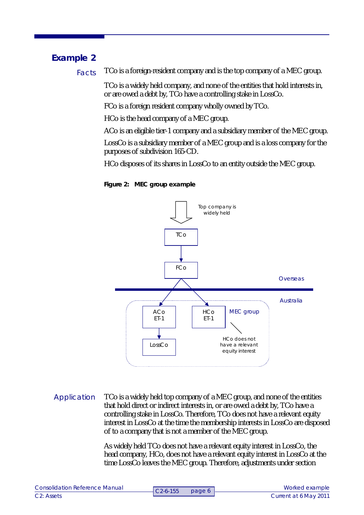## **Example 2**

TCo is a foreign-resident company and is the top company of a MEC group. Facts

> TCo is a widely held company, and none of the entities that hold interests in, or are owed a debt by, TCo have a controlling stake in LossCo.

FCo is a foreign resident company wholly owned by TCo.

HCo is the head company of a MEC group.

ACo is an eligible tier-1 company and a subsidiary member of the MEC group.

LossCo is a subsidiary member of a MEC group and is a loss company for the purposes of subdivision 165-CD.

HCo disposes of its shares in LossCo to an entity outside the MEC group.

**Figure 2: MEC group example**



TCo is a widely held top company of a MEC group, and none of the entities that hold direct or indirect interests in, or are owed a debt by, TCo have a controlling stake in LossCo. Therefore, TCo does not have a relevant equity interest in LossCo at the time the membership interests in LossCo are disposed of to a company that is not a member of the MEC group. Application

> As widely held TCo does not have a relevant equity interest in LossCo, the head company, HCo, does not have a relevant equity interest in LossCo at the time LossCo leaves the MEC group. Therefore, adjustments under section